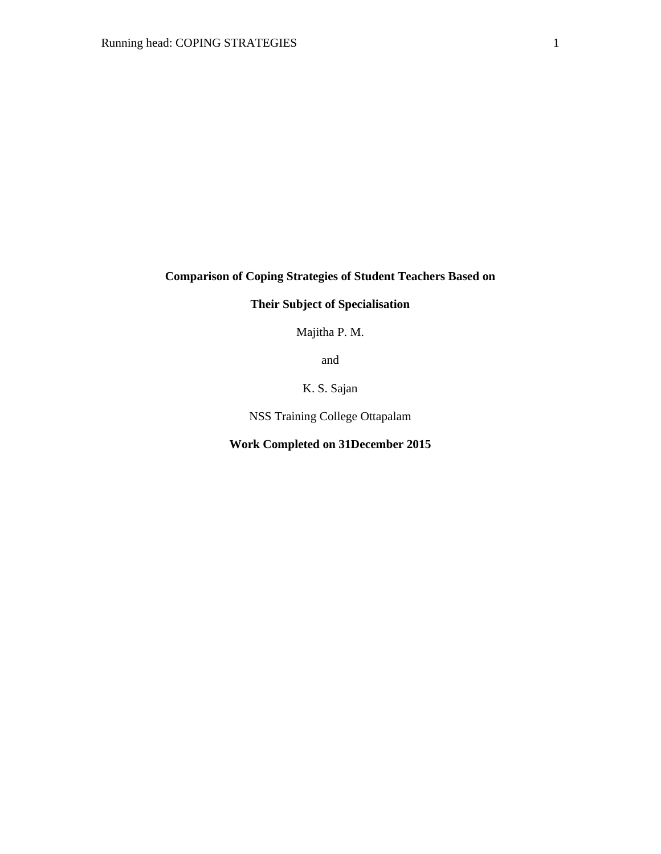# **Comparison of Coping Strategies of Student Teachers Based on**

# **Their Subject of Specialisation**

Majitha P. M.

and

K. S. Sajan

NSS Training College Ottapalam

## **Work Completed on 31December 2015**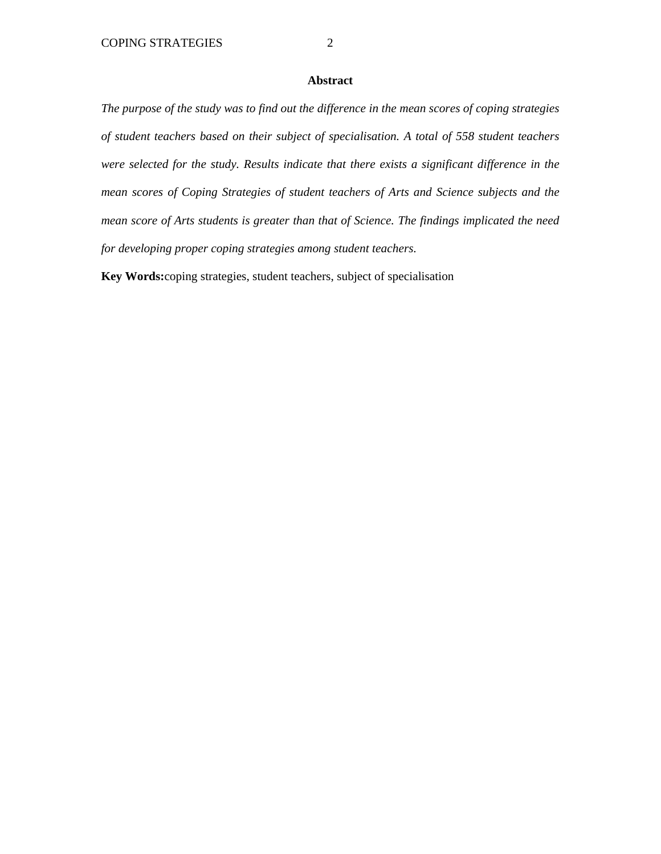#### **Abstract**

*The purpose of the study was to find out the difference in the mean scores of coping strategies of student teachers based on their subject of specialisation. A total of 558 student teachers were selected for the study. Results indicate that there exists a significant difference in the mean scores of Coping Strategies of student teachers of Arts and Science subjects and the mean score of Arts students is greater than that of Science. The findings implicated the need for developing proper coping strategies among student teachers.* 

**Key Words:**coping strategies, student teachers, subject of specialisation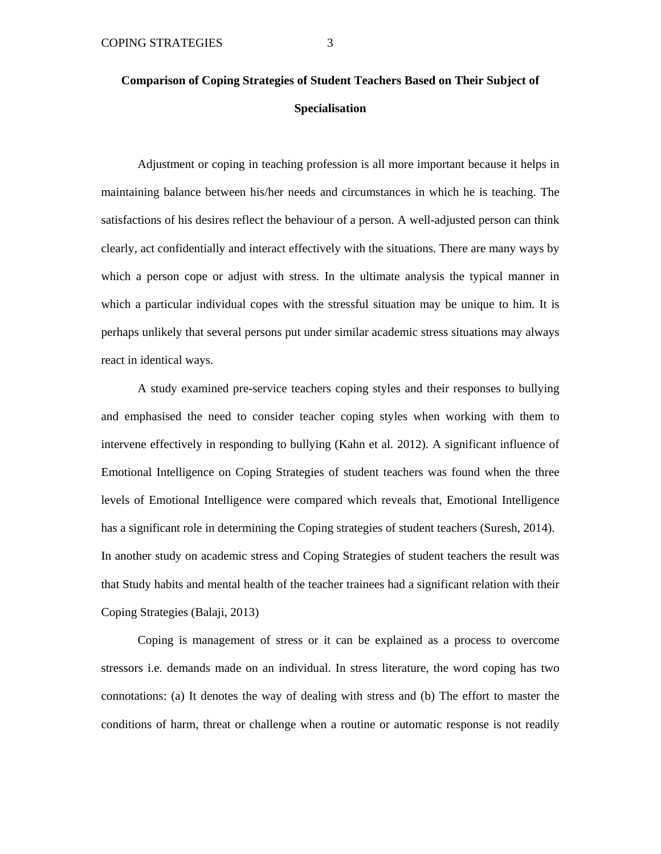# **Comparison of Coping Strategies of Student Teachers Based on Their Subject of Specialisation**

 Adjustment or coping in teaching profession is all more important because it helps in maintaining balance between his/her needs and circumstances in which he is teaching. The satisfactions of his desires reflect the behaviour of a person. A well-adjusted person can think clearly, act confidentially and interact effectively with the situations. There are many ways by which a person cope or adjust with stress. In the ultimate analysis the typical manner in which a particular individual copes with the stressful situation may be unique to him. It is perhaps unlikely that several persons put under similar academic stress situations may always react in identical ways.

 A study examined pre-service teachers coping styles and their responses to bullying and emphasised the need to consider teacher coping styles when working with them to intervene effectively in responding to bullying (Kahn et al. 2012). A significant influence of Emotional Intelligence on Coping Strategies of student teachers was found when the three levels of Emotional Intelligence were compared which reveals that, Emotional Intelligence has a significant role in determining the Coping strategies of student teachers (Suresh, 2014). In another study on academic stress and Coping Strategies of student teachers the result was that Study habits and mental health of the teacher trainees had a significant relation with their Coping Strategies (Balaji, 2013)

 Coping is management of stress or it can be explained as a process to overcome stressors i.e. demands made on an individual. In stress literature, the word coping has two connotations: (a) It denotes the way of dealing with stress and (b) The effort to master the conditions of harm, threat or challenge when a routine or automatic response is not readily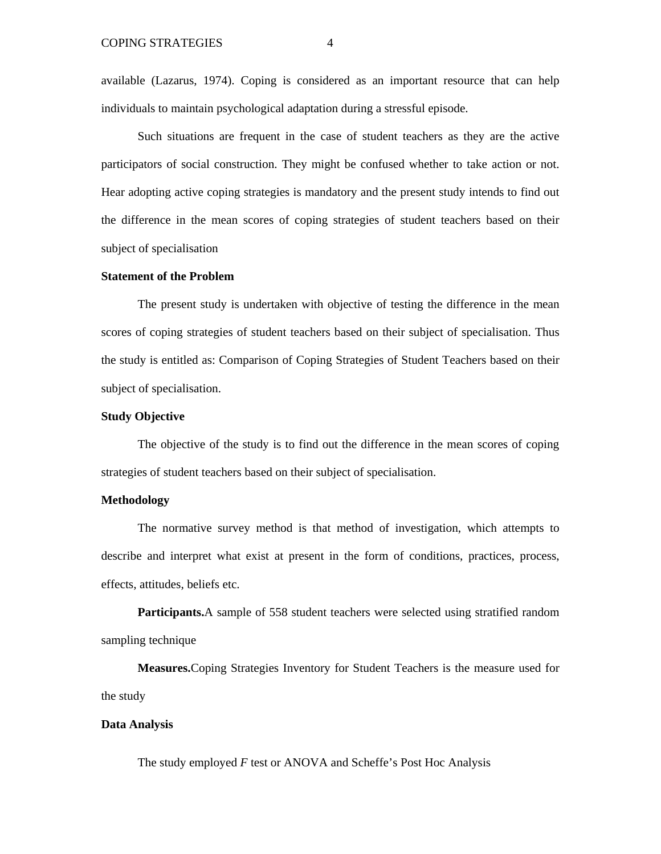available (Lazarus, 1974). Coping is considered as an important resource that can help individuals to maintain psychological adaptation during a stressful episode.

 Such situations are frequent in the case of student teachers as they are the active participators of social construction. They might be confused whether to take action or not. Hear adopting active coping strategies is mandatory and the present study intends to find out the difference in the mean scores of coping strategies of student teachers based on their subject of specialisation

#### **Statement of the Problem**

The present study is undertaken with objective of testing the difference in the mean scores of coping strategies of student teachers based on their subject of specialisation. Thus the study is entitled as: Comparison of Coping Strategies of Student Teachers based on their subject of specialisation.

#### **Study Objective**

 The objective of the study is to find out the difference in the mean scores of coping strategies of student teachers based on their subject of specialisation.

#### **Methodology**

 The normative survey method is that method of investigation, which attempts to describe and interpret what exist at present in the form of conditions, practices, process, effects, attitudes, beliefs etc.

 **Participants.**A sample of 558 student teachers were selected using stratified random sampling technique

 **Measures.**Coping Strategies Inventory for Student Teachers is the measure used for the study

#### **Data Analysis**

The study employed *F* test or ANOVA and Scheffe's Post Hoc Analysis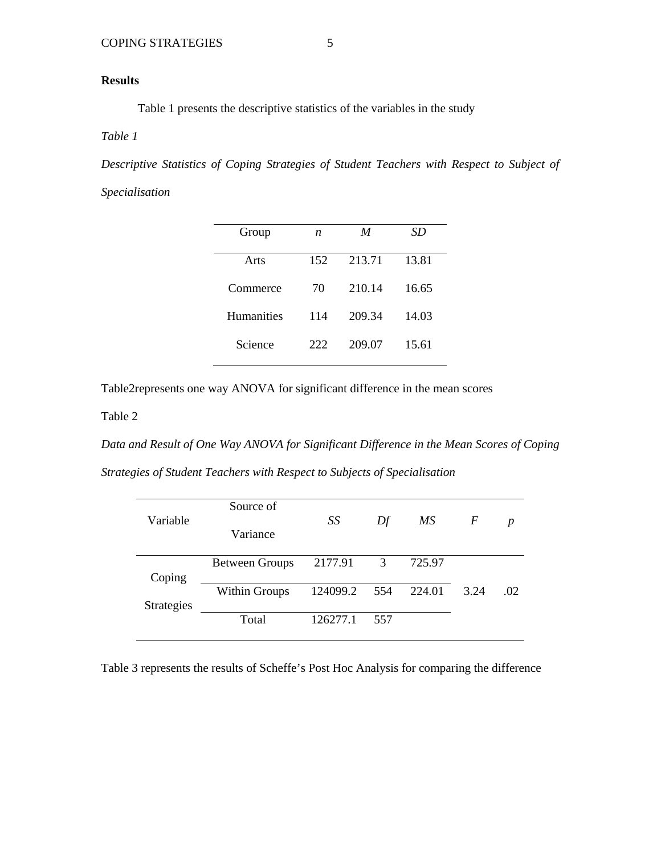## **Results**

Table 1 presents the descriptive statistics of the variables in the study

## *Table 1*

*Descriptive Statistics of Coping Strategies of Student Teachers with Respect to Subject of* 

*Specialisation* 

| Group             | n   | M      | SD    |
|-------------------|-----|--------|-------|
| Arts              | 152 | 213.71 | 13.81 |
| Commerce          | 70  | 210.14 | 16.65 |
| <b>Humanities</b> | 114 | 209.34 | 14.03 |
| Science           | 222 | 209.07 | 15.61 |
|                   |     |        |       |

Table2represents one way ANOVA for significant difference in the mean scores

Table 2

*Data and Result of One Way ANOVA for Significant Difference in the Mean Scores of Coping Strategies of Student Teachers with Respect to Subjects of Specialisation* 

|                   | Source of             |          |     |        |      |     |
|-------------------|-----------------------|----------|-----|--------|------|-----|
| Variable          | Variance              | SS       | Df  | МS     | F    | p   |
|                   | <b>Between Groups</b> | 2177.91  | 3   | 725.97 |      |     |
| Coping            |                       |          |     |        |      |     |
|                   | <b>Within Groups</b>  | 124099.2 | 554 | 224.01 | 3.24 | .02 |
| <b>Strategies</b> |                       |          |     |        |      |     |
|                   | Total                 | 126277.1 | 557 |        |      |     |
|                   |                       |          |     |        |      |     |

Table 3 represents the results of Scheffe's Post Hoc Analysis for comparing the difference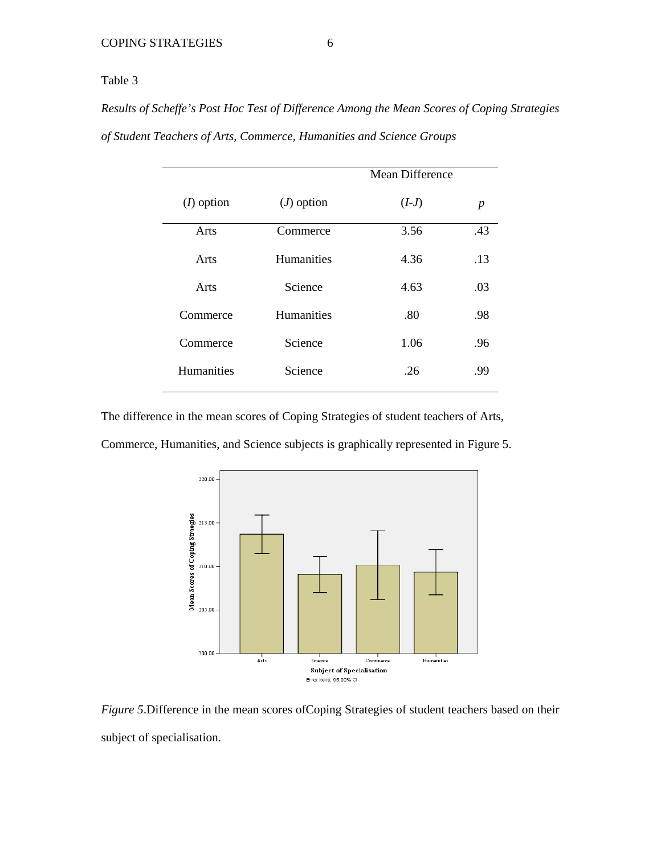## Table 3

*Results of Scheffe's Post Hoc Test of Difference Among the Mean Scores of Coping Strategies of Student Teachers of Arts, Commerce, Humanities and Science Groups*

|                   |                   | Mean Difference |     |  |
|-------------------|-------------------|-----------------|-----|--|
| $(I)$ option      | $(J)$ option      | $(I-J)$         | p   |  |
| Arts              | Commerce          | 3.56            | .43 |  |
| Arts              | <b>Humanities</b> | 4.36            | .13 |  |
| Arts              | Science           | 4.63            | .03 |  |
| Commerce          | <b>Humanities</b> | .80             | .98 |  |
| Commerce          | Science           | 1.06            | .96 |  |
| <b>Humanities</b> | Science           | .26             | .99 |  |

The difference in the mean scores of Coping Strategies of student teachers of Arts, Commerce, Humanities, and Science subjects is graphically represented in Figure 5.



*Figure 5*.Difference in the mean scores ofCoping Strategies of student teachers based on their subject of specialisation.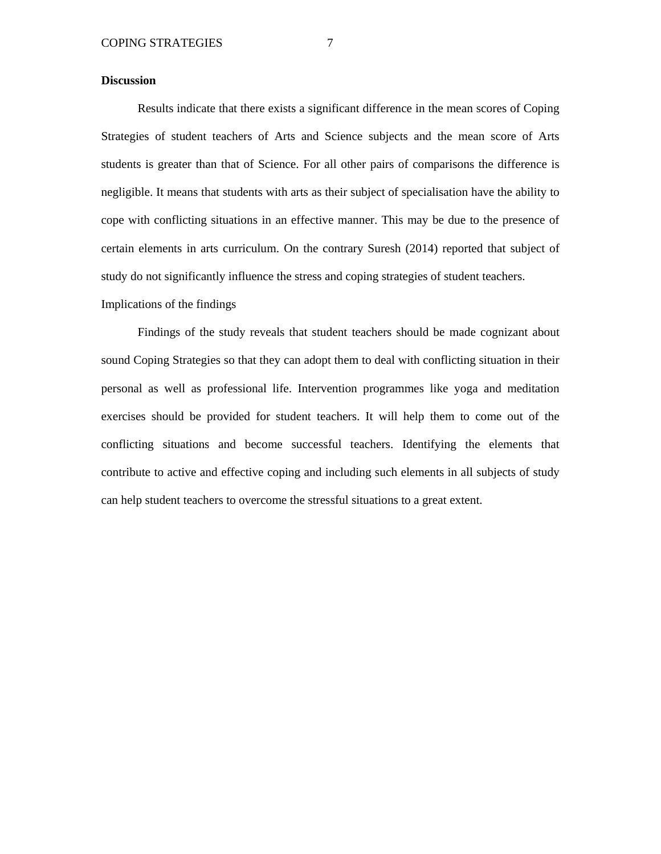#### **Discussion**

 Results indicate that there exists a significant difference in the mean scores of Coping Strategies of student teachers of Arts and Science subjects and the mean score of Arts students is greater than that of Science. For all other pairs of comparisons the difference is negligible. It means that students with arts as their subject of specialisation have the ability to cope with conflicting situations in an effective manner. This may be due to the presence of certain elements in arts curriculum. On the contrary Suresh (2014) reported that subject of study do not significantly influence the stress and coping strategies of student teachers. Implications of the findings

 Findings of the study reveals that student teachers should be made cognizant about sound Coping Strategies so that they can adopt them to deal with conflicting situation in their personal as well as professional life. Intervention programmes like yoga and meditation exercises should be provided for student teachers. It will help them to come out of the conflicting situations and become successful teachers. Identifying the elements that contribute to active and effective coping and including such elements in all subjects of study can help student teachers to overcome the stressful situations to a great extent.